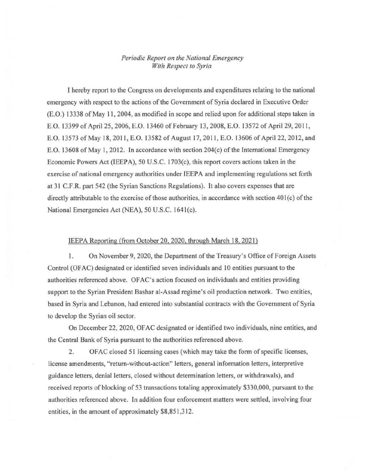## *Periodic Report on the National Emergency With Respect to Syria*

I hereby report to the Congress on developments and expenditures relating to the national emergency with respect to the actions of the Government of Syria declared in Executive Order (E.O.) 13338 of May 11,2004, as modified in scope and relied upon for additional steps taken in E.O. 13399 of April 25, 2006, E.O. 13460 of February 13, 2008, E.O. 13572 of April 29, 2011, E.O. 13573 of May 18, 2011, E.O. 13582 of August 17, 2011, E.O. 13606 of April 22, 2012, and E.O. 13608 of May 1, 2012. In accordance with section  $204(c)$  of the International Emergency Economic Powers Act (IEEPA), 50 U.S.C. 1703(c), this report covers actions taken in the exercise of national emergency authorities under IEEP A and implementing regulations set forth at 31 C.F .R. part 542 (the Syrian Sanctions Regulations). It also covers expenses that are directly attributable to the exercise of those authorities, in accordance with section 401(c) of the National Emergencies Act (NEA), 50 U.S.C. 1641(c).

## IEEPA Reporting (from October 20, 2020, through March 18. 2021)

1. On November 9, 2020, the Department of the Treasury's Office of Foreign Assets Control (OFAC) designated or identified seven individuals and 10 entities pursuant to the authorities referenced above. OFAC's action focused on individuals and entities providing support to the Syrian President Bashar al-Assad regime's oil production network. Two entities, based in Syria and Lebanon, had entered into substantial contracts with the Government of Syria to develop the Syrian oil sector.

On December 22, 2020, OF AC designated or identified two individuals, nine entities, and the Central Bank of Syria pursuant to the authorities referenced above.

2. OFAC closed 51 licensing cases (which may take the form of specific licenses, license amendments, "return-without-action" letters, general information letters, interpretive guidance letters, denial letters, closed without determination letters, or withdrawals), and received reports of blocking of 53 transactions totaling approximately \$330,000, pursuant to the authorities referenced above. In addition four enforcement matters were settled, involving four entities, in the amount of approximately \$8,851,312.